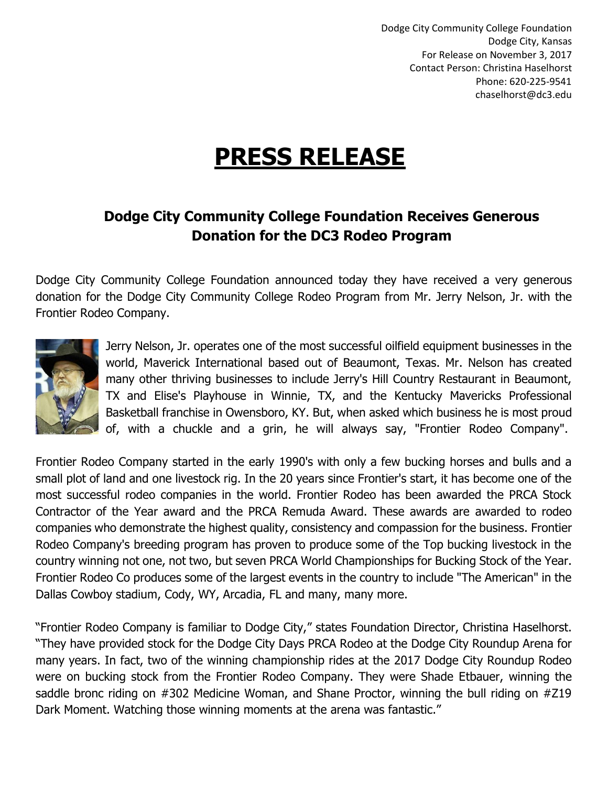Dodge City Community College Foundation Dodge City, Kansas For Release on November 3, 2017 Contact Person: Christina Haselhorst Phone: 620-225-9541 chaselhorst@dc3.edu

## **PRESS RELEASE**

## **Dodge City Community College Foundation Receives Generous Donation for the DC3 Rodeo Program**

Dodge City Community College Foundation announced today they have received a very generous donation for the Dodge City Community College Rodeo Program from Mr. Jerry Nelson, Jr. with the Frontier Rodeo Company.



Jerry Nelson, Jr. operates one of the most successful oilfield equipment businesses in the world, Maverick International based out of Beaumont, Texas. Mr. Nelson has created many other thriving businesses to include Jerry's Hill Country Restaurant in Beaumont, TX and Elise's Playhouse in Winnie, TX, and the Kentucky Mavericks Professional Basketball franchise in Owensboro, KY. But, when asked which business he is most proud of, with a chuckle and a grin, he will always say, "Frontier Rodeo Company".

Frontier Rodeo Company started in the early 1990's with only a few bucking horses and bulls and a small plot of land and one livestock rig. In the 20 years since Frontier's start, it has become one of the most successful rodeo companies in the world. Frontier Rodeo has been awarded the PRCA Stock Contractor of the Year award and the PRCA Remuda Award. These awards are awarded to rodeo companies who demonstrate the highest quality, consistency and compassion for the business. Frontier Rodeo Company's breeding program has proven to produce some of the Top bucking livestock in the country winning not one, not two, but seven PRCA World Championships for Bucking Stock of the Year. Frontier Rodeo Co produces some of the largest events in the country to include "The American" in the Dallas Cowboy stadium, Cody, WY, Arcadia, FL and many, many more.

"Frontier Rodeo Company is familiar to Dodge City," states Foundation Director, Christina Haselhorst. "They have provided stock for the Dodge City Days PRCA Rodeo at the Dodge City Roundup Arena for many years. In fact, two of the winning championship rides at the 2017 Dodge City Roundup Rodeo were on bucking stock from the Frontier Rodeo Company. They were Shade Etbauer, winning the saddle bronc riding on #302 Medicine Woman, and Shane Proctor, winning the bull riding on #Z19 Dark Moment. Watching those winning moments at the arena was fantastic."